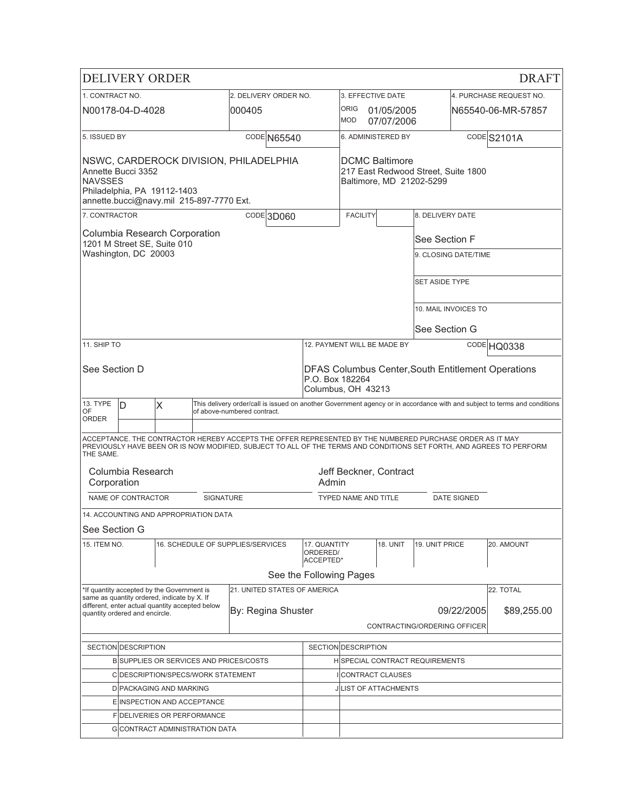|                                                                                                                                                           |                                                                                      | <b>DELIVERY ORDER</b>                                                                     |                  |                                                                                                                                                                                                                                  |                                       |                                                   |                                     |                                        |                    | <b>DRAFT</b>                                                                                                              |
|-----------------------------------------------------------------------------------------------------------------------------------------------------------|--------------------------------------------------------------------------------------|-------------------------------------------------------------------------------------------|------------------|----------------------------------------------------------------------------------------------------------------------------------------------------------------------------------------------------------------------------------|---------------------------------------|---------------------------------------------------|-------------------------------------|----------------------------------------|--------------------|---------------------------------------------------------------------------------------------------------------------------|
| 1. CONTRACT NO.                                                                                                                                           |                                                                                      |                                                                                           |                  | 2. DELIVERY ORDER NO.                                                                                                                                                                                                            |                                       | 3. EFFECTIVE DATE                                 |                                     |                                        |                    | 4. PURCHASE REQUEST NO.                                                                                                   |
|                                                                                                                                                           | N00178-04-D-4028                                                                     |                                                                                           |                  | 000405                                                                                                                                                                                                                           |                                       | <b>ORIG</b><br><b>MOD</b>                         | 01/05/2005<br>07/07/2006            |                                        |                    | IN65540-06-MR-57857                                                                                                       |
| 5. ISSUED BY                                                                                                                                              |                                                                                      |                                                                                           |                  | CODE N65540                                                                                                                                                                                                                      |                                       |                                                   | 6. ADMINISTERED BY                  |                                        |                    | CODES2101A                                                                                                                |
| NSWC, CARDEROCK DIVISION, PHILADELPHIA<br>Annette Bucci 3352<br><b>NAVSSES</b><br>Philadelphia, PA 19112-1403<br>annette.bucci@navy.mil 215-897-7770 Ext. |                                                                                      |                                                                                           |                  |                                                                                                                                                                                                                                  |                                       | <b>DCMC Baltimore</b><br>Baltimore, MD 21202-5299 | 217 East Redwood Street, Suite 1800 |                                        |                    |                                                                                                                           |
| 7. CONTRACTOR                                                                                                                                             |                                                                                      |                                                                                           |                  | CODE 3D060                                                                                                                                                                                                                       |                                       | <b>FACILITY</b>                                   |                                     | 8. DELIVERY DATE                       |                    |                                                                                                                           |
|                                                                                                                                                           | Washington, DC 20003                                                                 | Columbia Research Corporation<br>1201 M Street SE, Suite 010                              |                  |                                                                                                                                                                                                                                  |                                       |                                                   |                                     | See Section F<br>9. CLOSING DATE/TIME  |                    |                                                                                                                           |
|                                                                                                                                                           |                                                                                      |                                                                                           |                  |                                                                                                                                                                                                                                  |                                       |                                                   |                                     | <b>SET ASIDE TYPE</b>                  |                    |                                                                                                                           |
|                                                                                                                                                           |                                                                                      |                                                                                           |                  |                                                                                                                                                                                                                                  |                                       |                                                   |                                     | 10. MAIL INVOICES TO                   |                    |                                                                                                                           |
|                                                                                                                                                           |                                                                                      |                                                                                           |                  |                                                                                                                                                                                                                                  |                                       |                                                   |                                     | See Section G                          |                    |                                                                                                                           |
| 11. SHIP TO                                                                                                                                               |                                                                                      |                                                                                           |                  |                                                                                                                                                                                                                                  |                                       |                                                   | 12. PAYMENT WILL BE MADE BY         |                                        |                    | CODE HQ0338                                                                                                               |
| See Section D<br><b>DFAS Columbus Center, South Entitlement Operations</b><br>P.O. Box 182264<br>Columbus, OH 43213                                       |                                                                                      |                                                                                           |                  |                                                                                                                                                                                                                                  |                                       |                                                   |                                     |                                        |                    |                                                                                                                           |
| 13. TYPE                                                                                                                                                  | D                                                                                    | X                                                                                         |                  |                                                                                                                                                                                                                                  |                                       |                                                   |                                     |                                        |                    | This delivery order/call is issued on another Government agency or in accordance with and subject to terms and conditions |
| OF<br><b>ORDER</b>                                                                                                                                        |                                                                                      |                                                                                           |                  | of above-numbered contract.                                                                                                                                                                                                      |                                       |                                                   |                                     |                                        |                    |                                                                                                                           |
| THE SAME.                                                                                                                                                 |                                                                                      |                                                                                           |                  | ACCEPTANCE. THE CONTRACTOR HEREBY ACCEPTS THE OFFER REPRESENTED BY THE NUMBERED PURCHASE ORDER AS IT MAY<br>PREVIOUSLY HAVE BEEN OR IS NOW MODIFIED, SUBJECT TO ALL OF THE TERMS AND CONDITIONS SET FORTH, AND AGREES TO PERFORM |                                       |                                                   |                                     |                                        |                    |                                                                                                                           |
| Corporation                                                                                                                                               | Columbia Research                                                                    |                                                                                           |                  |                                                                                                                                                                                                                                  | Admin                                 |                                                   | Jeff Beckner, Contract              |                                        |                    |                                                                                                                           |
|                                                                                                                                                           | NAME OF CONTRACTOR                                                                   |                                                                                           | <b>SIGNATURE</b> |                                                                                                                                                                                                                                  |                                       | <b>TYPED NAME AND TITLE</b>                       |                                     |                                        | <b>DATE SIGNED</b> |                                                                                                                           |
|                                                                                                                                                           |                                                                                      | 14. ACCOUNTING AND APPROPRIATION DATA                                                     |                  |                                                                                                                                                                                                                                  |                                       |                                                   |                                     |                                        |                    |                                                                                                                           |
| See Section G                                                                                                                                             |                                                                                      |                                                                                           |                  |                                                                                                                                                                                                                                  |                                       |                                                   |                                     |                                        |                    |                                                                                                                           |
| 15. ITEM NO.                                                                                                                                              |                                                                                      |                                                                                           |                  | 16. SCHEDULE OF SUPPLIES/SERVICES                                                                                                                                                                                                | 17. QUANTITY<br>ORDERED/<br>ACCEPTED* |                                                   | 18. UNIT                            | 19. UNIT PRICE                         |                    | 20. AMOUNT                                                                                                                |
|                                                                                                                                                           |                                                                                      |                                                                                           |                  |                                                                                                                                                                                                                                  | See the Following Pages               |                                                   |                                     |                                        |                    |                                                                                                                           |
|                                                                                                                                                           |                                                                                      | *If quantity accepted by the Government is<br>same as quantity ordered, indicate by X. If |                  | 21. UNITED STATES OF AMERICA                                                                                                                                                                                                     |                                       |                                                   |                                     |                                        |                    | 22. TOTAL                                                                                                                 |
|                                                                                                                                                           | quantity ordered and encircle.                                                       | different, enter actual quantity accepted below                                           |                  | By: Regina Shuster                                                                                                                                                                                                               |                                       |                                                   |                                     |                                        | 09/22/2005         | \$89,255.00                                                                                                               |
|                                                                                                                                                           |                                                                                      |                                                                                           |                  |                                                                                                                                                                                                                                  |                                       |                                                   |                                     | CONTRACTING/ORDERING OFFICER           |                    |                                                                                                                           |
|                                                                                                                                                           | SECTION DESCRIPTION                                                                  |                                                                                           |                  |                                                                                                                                                                                                                                  |                                       | <b>SECTION DESCRIPTION</b>                        |                                     |                                        |                    |                                                                                                                           |
|                                                                                                                                                           |                                                                                      |                                                                                           |                  |                                                                                                                                                                                                                                  |                                       |                                                   |                                     | <b>HISPECIAL CONTRACT REQUIREMENTS</b> |                    |                                                                                                                           |
|                                                                                                                                                           | <b>BISUPPLIES OR SERVICES AND PRICES/COSTS</b><br>C DESCRIPTION/SPECS/WORK STATEMENT |                                                                                           |                  |                                                                                                                                                                                                                                  |                                       |                                                   | CONTRACT CLAUSES                    |                                        |                    |                                                                                                                           |
|                                                                                                                                                           |                                                                                      | <b>DIPACKAGING AND MARKING</b>                                                            |                  |                                                                                                                                                                                                                                  |                                       |                                                   | <b>JLIST OF ATTACHMENTS</b>         |                                        |                    |                                                                                                                           |
|                                                                                                                                                           |                                                                                      | E INSPECTION AND ACCEPTANCE                                                               |                  |                                                                                                                                                                                                                                  |                                       |                                                   |                                     |                                        |                    |                                                                                                                           |
|                                                                                                                                                           |                                                                                      | FIDELIVERIES OR PERFORMANCE                                                               |                  |                                                                                                                                                                                                                                  |                                       |                                                   |                                     |                                        |                    |                                                                                                                           |
|                                                                                                                                                           | <b>G</b> CONTRACT ADMINISTRATION DATA                                                |                                                                                           |                  |                                                                                                                                                                                                                                  |                                       |                                                   |                                     |                                        |                    |                                                                                                                           |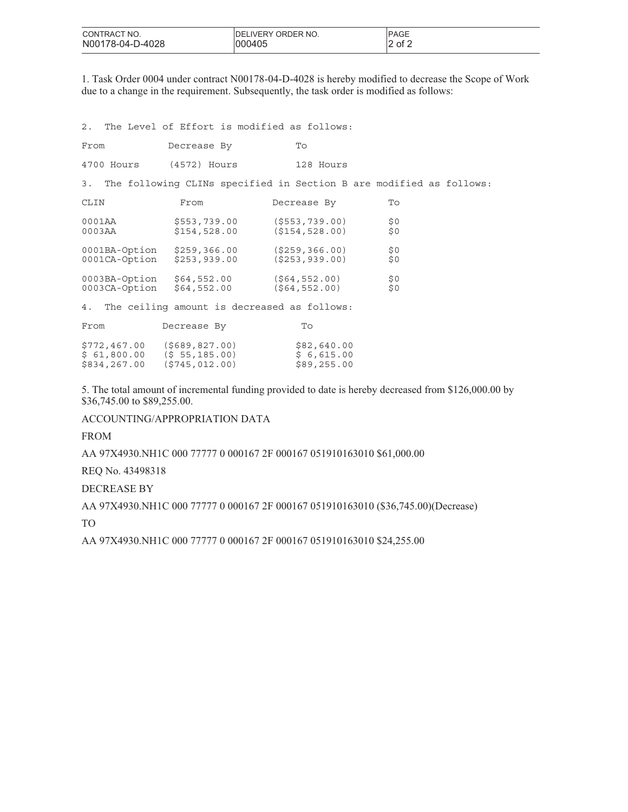| CONTRACT NO.     | <b>IDELIVERY ORDER NO.</b> | <b>PAGE</b> |
|------------------|----------------------------|-------------|
| N00178-04-D-4028 | 000405                     | of 2        |

1. Task Order 0004 under contract N00178-04-D-4028 is hereby modified to decrease the Scope of Work due to a change in the requirement. Subsequently, the task order is modified as follows:

2. The Level of Effort is modified as follows:

\$834,267.00 (\$745,012.00) \$89,255.00

| From                                        | Decrease By                                 | To                                                                  |              |
|---------------------------------------------|---------------------------------------------|---------------------------------------------------------------------|--------------|
| 4700 Hours                                  | (4572) Hours                                | 128 Hours                                                           |              |
| 3.                                          |                                             | The following CLINs specified in Section B are modified as follows: |              |
| CLIN                                        | From                                        | Decrease By                                                         | To           |
| 0001AA<br>0003AA                            | \$553,739.00<br>\$154,528.00                | (S553, 739.00)<br>(S154, 528.00)                                    | \$0\$<br>\$0 |
| 0001BA-Option<br>0001CA-Option              | \$259,366.00<br>\$253,939.00                | ( \$259, 366.00)<br>(S253, 939.00)                                  | \$0<br>\$0   |
| 0003BA-Option<br>0003CA-Option              | \$64,552.00<br>\$64,552.00                  | ( \$64, 552.00)<br>(S64, 552.00)                                    | \$0<br>\$0   |
| 4.                                          | The ceiling amount is decreased as follows: |                                                                     |              |
| From                                        | Decrease By                                 | To                                                                  |              |
| $$772,467.00$ (\$689,827.00)<br>\$61,800.00 | (S, 55, 185.00)                             | \$82,640.00<br>\$6,615.00                                           |              |

5. The total amount of incremental funding provided to date is hereby decreased from \$126,000.00 by \$36,745.00 to \$89,255.00.

ACCOUNTING/APPROPRIATION DATA

FROM

AA 97X4930.NH1C 000 77777 0 000167 2F 000167 051910163010 \$61,000.00

REQ No. 43498318

DECREASE BY

AA 97X4930.NH1C 000 77777 0 000167 2F 000167 051910163010 (\$36,745.00)(Decrease)

TO

AA 97X4930.NH1C 000 77777 0 000167 2F 000167 051910163010 \$24,255.00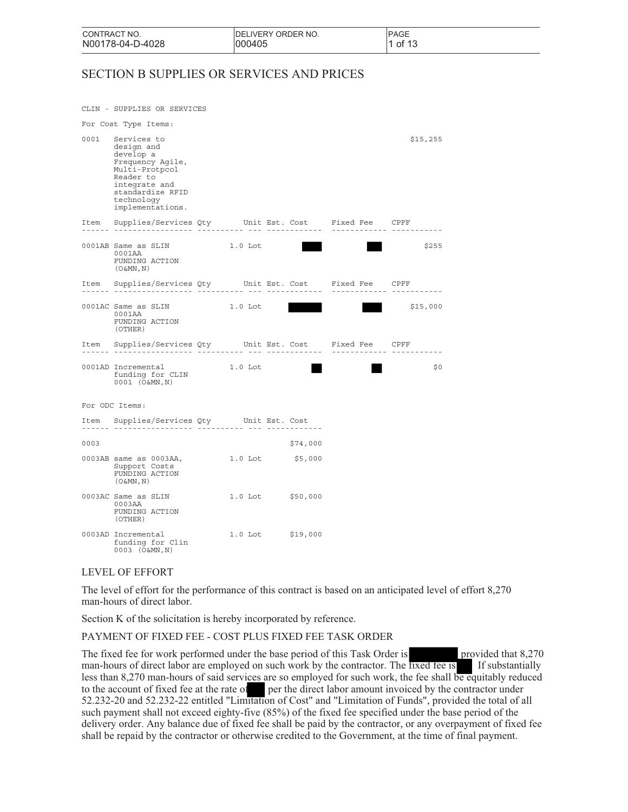| CONTRACT NO.     | IDELIVERY ORDER NO. | <b>PAGE</b> |
|------------------|---------------------|-------------|
| N00178-04-D-4028 | 000405              | . of 1?     |

# SECTION B SUPPLIES OR SERVICES AND PRICES

|      | CLIN - SUPPLIES OR SERVICES                                                                                                                                      |                  |          |                           |          |
|------|------------------------------------------------------------------------------------------------------------------------------------------------------------------|------------------|----------|---------------------------|----------|
|      | For Cost Type Items:                                                                                                                                             |                  |          |                           |          |
| 0001 | Services to<br>design and<br>develop a<br>Frequency Aqile,<br>Multi-Protpcol<br>Reader to<br>integrate and<br>standardize RFID<br>technology<br>implementations. |                  |          |                           | \$15,255 |
|      | Item Supplies/Services Qty Unit Est. Cost Fixed Fee CPFF                                                                                                         |                  |          | ------------- ---------   |          |
|      | 0001AB Same as SLIN<br>0001AA<br>FUNDING ACTION<br>$(0 \& MN, N)$                                                                                                | 1.0 Lot          |          |                           | \$255    |
|      | Item Supplies/Services Qty Unit Est. Cost Fixed Fee CPFF                                                                                                         |                  |          | ------------- ----------- |          |
|      | 0001AC Same as SLIN<br>0001AA<br>FUNDING ACTION<br>(OTHER)                                                                                                       | 1.0 Lot          |          |                           | \$15,000 |
|      | Item Supplies/Services Qty Unit Est. Cost Fixed Fee CPFF                                                                                                         |                  |          |                           |          |
|      | 0001AD Incremental<br>funding for CLIN<br>0001 (O&MN, N)                                                                                                         | $1.0$ Lot        |          |                           | \$0      |
|      | For ODC Items:                                                                                                                                                   |                  |          |                           |          |
|      | Item Supplies/Services Qty Unit Est. Cost                                                                                                                        |                  |          |                           |          |
| 0003 |                                                                                                                                                                  |                  | \$74,000 |                           |          |
|      | 0003AB same as 0003AA,<br>Support Costs<br>FUNDING ACTION<br>$($ O & MN , $\mathrm{N}$ $)$                                                                       | 1.0 Lot \$5,000  |          |                           |          |
|      | 0003AC Same as SLIN<br>0003AA<br>FUNDING ACTION<br>(OTHER)                                                                                                       | 1.0 Lot \$50,000 |          |                           |          |
|      | 0003AD Incremental<br>funding for Clin<br>0003 (O&MN, N)                                                                                                         | 1.0 Lot \$19,000 |          |                           |          |

### LEVEL OF EFFORT

The level of effort for the performance of this contract is based on an anticipated level of effort 8,270 man-hours of direct labor.

Section K of the solicitation is hereby incorporated by reference.

### PAYMENT OF FIXED FEE - COST PLUS FIXED FEE TASK ORDER

The fixed fee for work performed under the base period of this Task Order is provided that 8,270 man-hours of direct labor are employed on such work by the contractor. The fixed fee is If substantially less than 8,270 man-hours of said services are so employed for such work, the fee shall be equitably reduced to the account of fixed fee at the rate of per the direct labor amount invoiced by the contractor under 52.232-20 and 52.232-22 entitled "Limitation of Cost" and "Limitation of Funds", provided the total of all such payment shall not exceed eighty-five (85%) of the fixed fee specified under the base period of the delivery order. Any balance due of fixed fee shall be paid by the contractor, or any overpayment of fixed fee shall be repaid by the contractor or otherwise credited to the Government, at the time of final payment.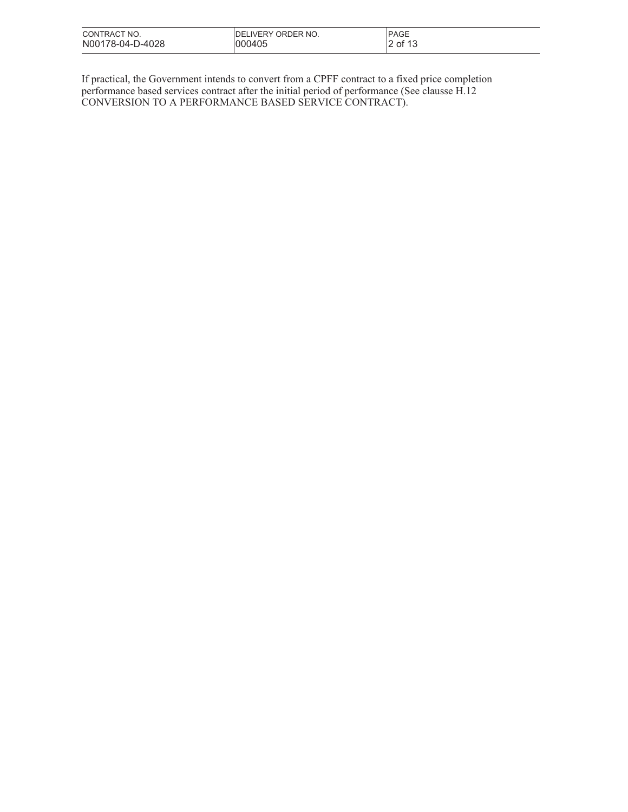| CONTRACT NO.     | <b>IDELIVERY ORDER NO.</b> | <b>PAGE</b>       |
|------------------|----------------------------|-------------------|
| N00178-04-D-4028 | 000405                     | م مد<br>οf<br>. . |

If practical, the Government intends to convert from a CPFF contract to a fixed price completion performance based services contract after the initial period of performance (See clausse H.12 CONVERSION TO A PERFORMANCE BASED SERVICE CONTRACT).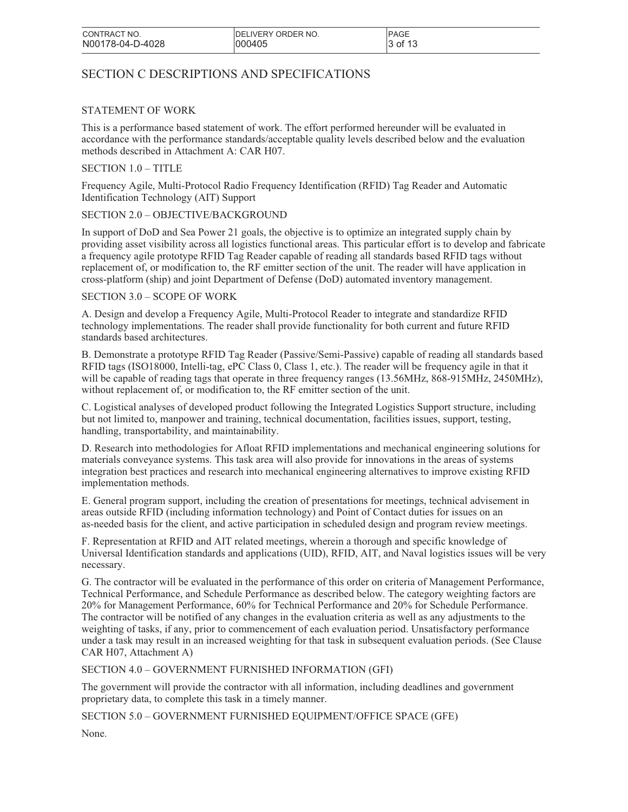# SECTION C DESCRIPTIONS AND SPECIFICATIONS

### STATEMENT OF WORK

This is a performance based statement of work. The effort performed hereunder will be evaluated in accordance with the performance standards/acceptable quality levels described below and the evaluation methods described in Attachment A: CAR H07.

## SECTION 1.0 – TITLE

Frequency Agile, Multi-Protocol Radio Frequency Identification (RFID) Tag Reader and Automatic Identification Technology (AIT) Support

### SECTION 2.0 – OBJECTIVE/BACKGROUND

In support of DoD and Sea Power 21 goals, the objective is to optimize an integrated supply chain by providing asset visibility across all logistics functional areas. This particular effort is to develop and fabricate a frequency agile prototype RFID Tag Reader capable of reading all standards based RFID tags without replacement of, or modification to, the RF emitter section of the unit. The reader will have application in cross-platform (ship) and joint Department of Defense (DoD) automated inventory management.

### SECTION 3.0 – SCOPE OF WORK

A. Design and develop a Frequency Agile, Multi-Protocol Reader to integrate and standardize RFID technology implementations. The reader shall provide functionality for both current and future RFID standards based architectures.

B. Demonstrate a prototype RFID Tag Reader (Passive/Semi-Passive) capable of reading all standards based RFID tags (ISO18000, Intelli-tag, ePC Class 0, Class 1, etc.). The reader will be frequency agile in that it will be capable of reading tags that operate in three frequency ranges (13.56MHz, 868-915MHz, 2450MHz), without replacement of, or modification to, the RF emitter section of the unit.

C. Logistical analyses of developed product following the Integrated Logistics Support structure, including but not limited to, manpower and training, technical documentation, facilities issues, support, testing, handling, transportability, and maintainability.

D. Research into methodologies for Afloat RFID implementations and mechanical engineering solutions for materials conveyance systems. This task area will also provide for innovations in the areas of systems integration best practices and research into mechanical engineering alternatives to improve existing RFID implementation methods.

E. General program support, including the creation of presentations for meetings, technical advisement in areas outside RFID (including information technology) and Point of Contact duties for issues on an as-needed basis for the client, and active participation in scheduled design and program review meetings.

F. Representation at RFID and AIT related meetings, wherein a thorough and specific knowledge of Universal Identification standards and applications (UID), RFID, AIT, and Naval logistics issues will be very necessary.

G. The contractor will be evaluated in the performance of this order on criteria of Management Performance, Technical Performance, and Schedule Performance as described below. The category weighting factors are 20% for Management Performance, 60% for Technical Performance and 20% for Schedule Performance. The contractor will be notified of any changes in the evaluation criteria as well as any adjustments to the weighting of tasks, if any, prior to commencement of each evaluation period. Unsatisfactory performance under a task may result in an increased weighting for that task in subsequent evaluation periods. (See Clause CAR H07, Attachment A)

## SECTION 4.0 – GOVERNMENT FURNISHED INFORMATION (GFI)

The government will provide the contractor with all information, including deadlines and government proprietary data, to complete this task in a timely manner.

SECTION 5.0 – GOVERNMENT FURNISHED EQUIPMENT/OFFICE SPACE (GFE)

None.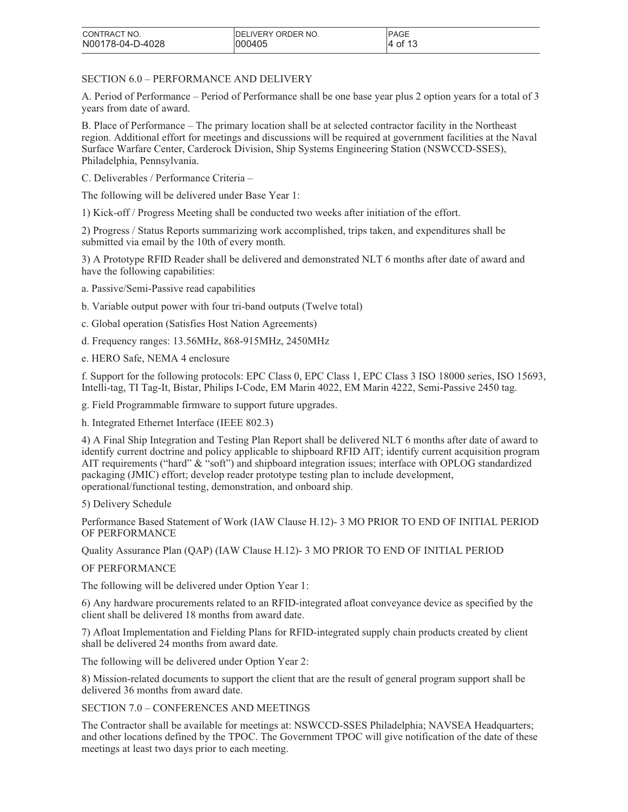| CONTRACT NO.     | <b>IDELIVERY ORDER NO.</b> | <b>PAGE</b> |
|------------------|----------------------------|-------------|
| N00178-04-D-4028 | 000405                     | of 13<br>14 |

### SECTION 6.0 – PERFORMANCE AND DELIVERY

A. Period of Performance – Period of Performance shall be one base year plus 2 option years for a total of 3 years from date of award.

B. Place of Performance – The primary location shall be at selected contractor facility in the Northeast region. Additional effort for meetings and discussions will be required at government facilities at the Naval Surface Warfare Center, Carderock Division, Ship Systems Engineering Station (NSWCCD-SSES), Philadelphia, Pennsylvania.

C. Deliverables / Performance Criteria –

The following will be delivered under Base Year 1:

1) Kick-off / Progress Meeting shall be conducted two weeks after initiation of the effort.

2) Progress / Status Reports summarizing work accomplished, trips taken, and expenditures shall be submitted via email by the 10th of every month.

3) A Prototype RFID Reader shall be delivered and demonstrated NLT 6 months after date of award and have the following capabilities:

- a. Passive/Semi-Passive read capabilities
- b. Variable output power with four tri-band outputs (Twelve total)
- c. Global operation (Satisfies Host Nation Agreements)
- d. Frequency ranges: 13.56MHz, 868-915MHz, 2450MHz
- e. HERO Safe, NEMA 4 enclosure

f. Support for the following protocols: EPC Class 0, EPC Class 1, EPC Class 3 ISO 18000 series, ISO 15693, Intelli-tag, TI Tag-It, Bistar, Philips I-Code, EM Marin 4022, EM Marin 4222, Semi-Passive 2450 tag.

g. Field Programmable firmware to support future upgrades.

h. Integrated Ethernet Interface (IEEE 802.3)

4) A Final Ship Integration and Testing Plan Report shall be delivered NLT 6 months after date of award to identify current doctrine and policy applicable to shipboard RFID AIT; identify current acquisition program AIT requirements ("hard" & "soft") and shipboard integration issues; interface with OPLOG standardized packaging (JMIC) effort; develop reader prototype testing plan to include development, operational/functional testing, demonstration, and onboard ship.

### 5) Delivery Schedule

Performance Based Statement of Work (IAW Clause H.12)- 3 MO PRIOR TO END OF INITIAL PERIOD OF PERFORMANCE

Quality Assurance Plan (QAP) (IAW Clause H.12)- 3 MO PRIOR TO END OF INITIAL PERIOD

### OF PERFORMANCE

The following will be delivered under Option Year 1:

6) Any hardware procurements related to an RFID-integrated afloat conveyance device as specified by the client shall be delivered 18 months from award date.

7) Afloat Implementation and Fielding Plans for RFID-integrated supply chain products created by client shall be delivered 24 months from award date.

The following will be delivered under Option Year 2:

8) Mission-related documents to support the client that are the result of general program support shall be delivered 36 months from award date.

SECTION 7.0 – CONFERENCES AND MEETINGS

The Contractor shall be available for meetings at: NSWCCD-SSES Philadelphia; NAVSEA Headquarters; and other locations defined by the TPOC. The Government TPOC will give notification of the date of these meetings at least two days prior to each meeting.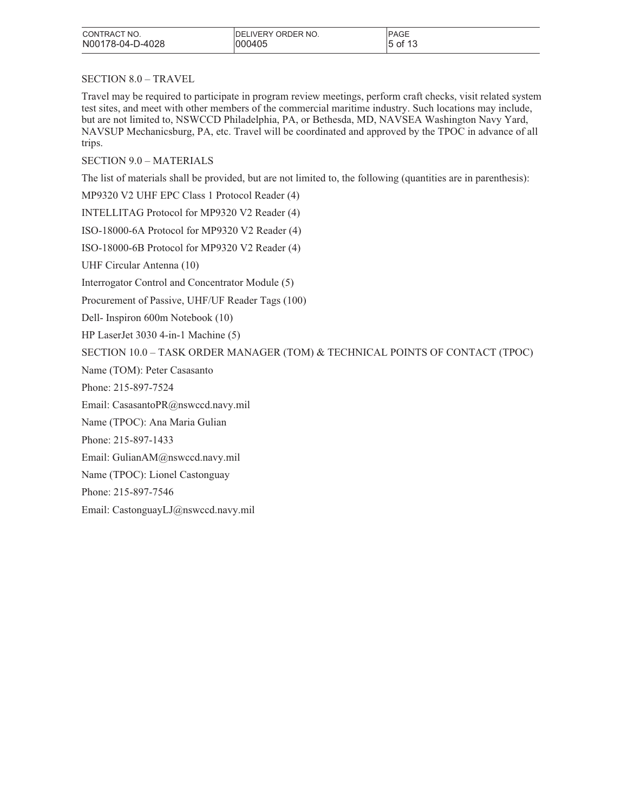| CONTRACT NO.     | IDELIVERY ORDER NO. | <b>PAGE</b> |
|------------------|---------------------|-------------|
| N00178-04-D-4028 | 000405              | of 1?<br>15 |

## SECTION 8.0 – TRAVEL

Travel may be required to participate in program review meetings, perform craft checks, visit related system test sites, and meet with other members of the commercial maritime industry. Such locations may include, but are not limited to, NSWCCD Philadelphia, PA, or Bethesda, MD, NAVSEA Washington Navy Yard, NAVSUP Mechanicsburg, PA, etc. Travel will be coordinated and approved by the TPOC in advance of all trips.

## SECTION 9.0 – MATERIALS

The list of materials shall be provided, but are not limited to, the following (quantities are in parenthesis):

MP9320 V2 UHF EPC Class 1 Protocol Reader (4)

INTELLITAG Protocol for MP9320 V2 Reader (4)

ISO-18000-6A Protocol for MP9320 V2 Reader (4)

ISO-18000-6B Protocol for MP9320 V2 Reader (4)

UHF Circular Antenna (10)

Interrogator Control and Concentrator Module (5)

Procurement of Passive, UHF/UF Reader Tags (100)

Dell- Inspiron 600m Notebook (10)

HP LaserJet 3030 4-in-1 Machine (5)

SECTION 10.0 – TASK ORDER MANAGER (TOM) & TECHNICAL POINTS OF CONTACT (TPOC)

Name (TOM): Peter Casasanto

Phone: 215-897-7524

Email: CasasantoPR@nswccd.navy.mil

Name (TPOC): Ana Maria Gulian

Phone: 215-897-1433

Email: GulianAM@nswccd.navy.mil

Name (TPOC): Lionel Castonguay

Phone: 215-897-7546

Email: CastonguayLJ@nswccd.navy.mil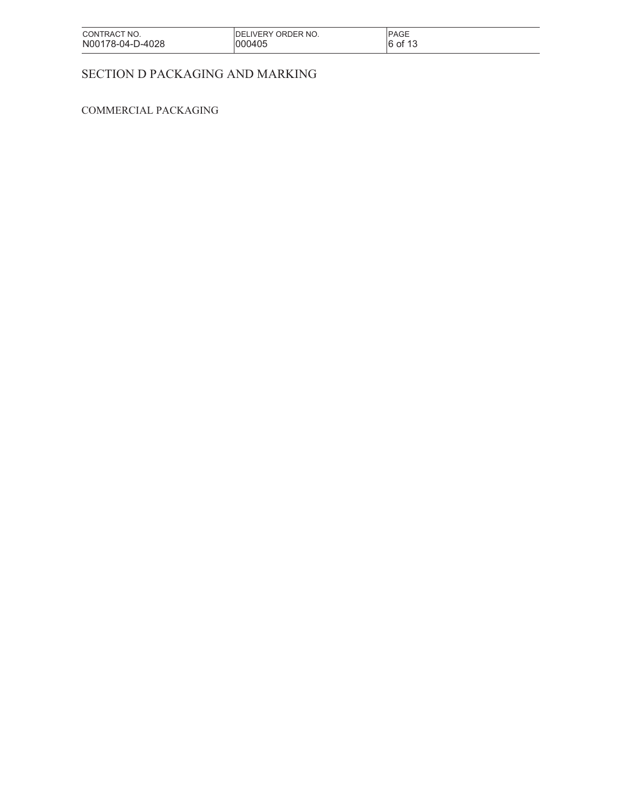| CONTRACT NO.     | <b>IDELIVERY ORDER NO.</b> | <b>PAGE</b>         |
|------------------|----------------------------|---------------------|
| N00178-04-D-4028 | 1000405                    | $6$ of 1 $^{\circ}$ |

# SECTION D PACKAGING AND MARKING

# COMMERCIAL PACKAGING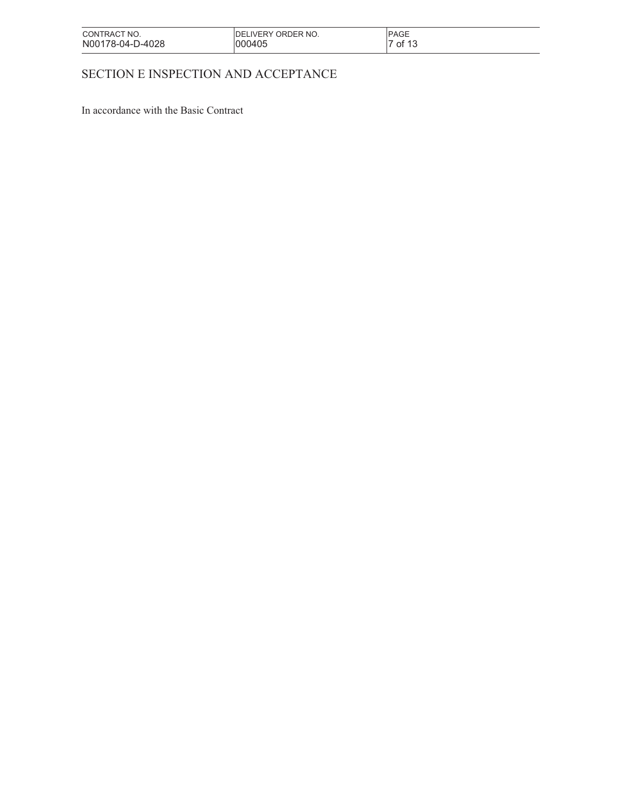| CONTRACT NO.     | <b>IDELIVERY ORDER NO.</b> | <b>PAGE</b>            |
|------------------|----------------------------|------------------------|
| N00178-04-D-4028 | 000405                     | $\cdot$ of 1 $\degree$ |

# SECTION E INSPECTION AND ACCEPTANCE

In accordance with the Basic Contract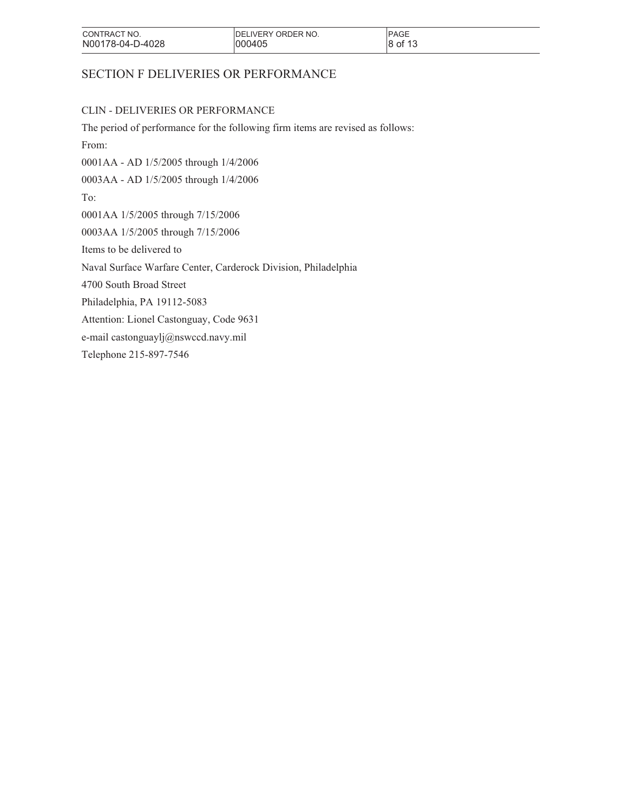| CONTRACT NO.<br>N00178-04-D-4028 | IDELIVERY ORDER NO.<br>1000405 | <b>PAGE</b><br>8 of 13<br>ັບ |
|----------------------------------|--------------------------------|------------------------------|
|                                  |                                |                              |

# SECTION F DELIVERIES OR PERFORMANCE

## CLIN - DELIVERIES OR PERFORMANCE

The period of performance for the following firm items are revised as follows: From: 0001AA - AD 1/5/2005 through 1/4/2006 0003AA - AD 1/5/2005 through 1/4/2006 To: 0001AA 1/5/2005 through 7/15/2006 0003AA 1/5/2005 through 7/15/2006 Items to be delivered to Naval Surface Warfare Center, Carderock Division, Philadelphia 4700 South Broad Street

Philadelphia, PA 19112-5083

Attention: Lionel Castonguay, Code 9631

e-mail castonguaylj@nswccd.navy.mil

Telephone 215-897-7546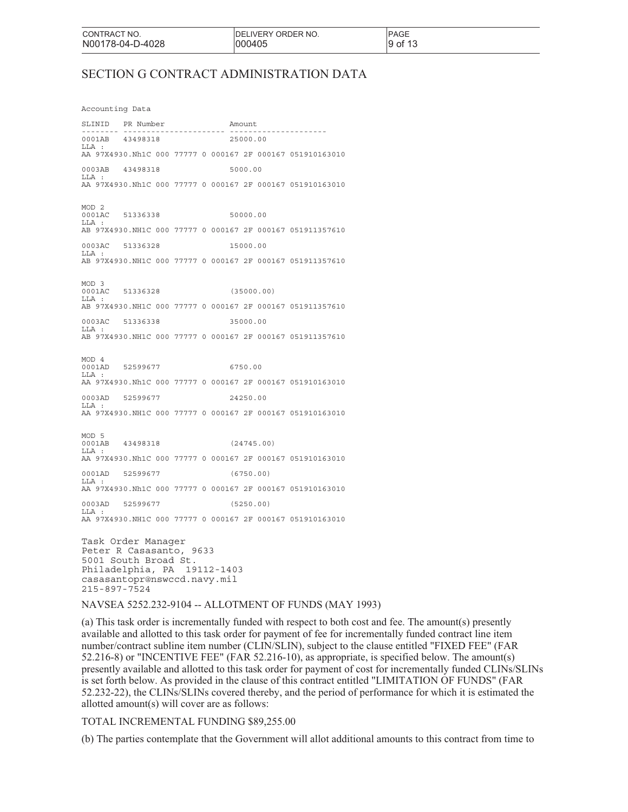PAGE 9 of 13

# SECTION G CONTRACT ADMINISTRATION DATA

Accounting Data

SLINID PR Number Amount -------- ---------------------- --------------------- 0001AB 43498318 25000.00 LLA : AA 97X4930.Nh1C 000 77777 0 000167 2F 000167 051910163010 0003AB 43498318 5000.00  $T.T.A$ AA 97X4930.Nh1C 000 77777 0 000167 2F 000167 051910163010 MOD 2<br>0001AC 0001AC 51336338 50000.00 LLA : AB 97X4930.NH1C 000 77777 0 000167 2F 000167 051911357610 0003AC 51336328 15000.00  $T.T.A$ AB 97X4930.NH1C 000 77777 0 000167 2F 000167 051911357610 MOD 3<br>0001AC 0001AC 51336328 (35000.00)  $LLA$ AB 97X4930.NH1C 000 77777 0 000167 2F 000167 051911357610 0003AC 51336338 35000.00 LLA AB 97X4930.NH1C 000 77777 0 000167 2F 000167 051911357610 MOD 4 0001AD 52599677 6750.00  $LLA$ AA 97X4930.Nh1C 000 77777 0 000167 2F 000167 051910163010 0003AD 52599677 24250.00 LLA AA 97X4930.NH1C 000 77777 0 000167 2F 000167 051910163010 MOD 5<br>0001AB 0001AB 43498318 (24745.00) LLA : AA 97X4930.Nh1C 000 77777 0 000167 2F 000167 051910163010 0001AD 52599677 (6750.00) LLA AA 97X4930.Nh1C 000 77777 0 000167 2F 000167 051910163010 0003AD 52599677 (5250.00)  $LLA$ AA 97X4930.NH1C 000 77777 0 000167 2F 000167 051910163010 Task Order Manager Peter R Casasanto, 9633

5001 South Broad St. Philadelphia, PA 19112-1403 casasantopr@nswccd.navy.mil 215-897-7524

NAVSEA 5252.232-9104 -- ALLOTMENT OF FUNDS (MAY 1993)

(a) This task order is incrementally funded with respect to both cost and fee. The amount(s) presently available and allotted to this task order for payment of fee for incrementally funded contract line item number/contract subline item number (CLIN/SLIN), subject to the clause entitled "FIXED FEE" (FAR 52.216-8) or "INCENTIVE FEE" (FAR 52.216-10), as appropriate, is specified below. The amount(s) presently available and allotted to this task order for payment of cost for incrementally funded CLINs/SLINs is set forth below. As provided in the clause of this contract entitled "LIMITATION OF FUNDS" (FAR 52.232-22), the CLINs/SLINs covered thereby, and the period of performance for which it is estimated the allotted amount(s) will cover are as follows:

#### TOTAL INCREMENTAL FUNDING \$89,255.00

(b) The parties contemplate that the Government will allot additional amounts to this contract from time to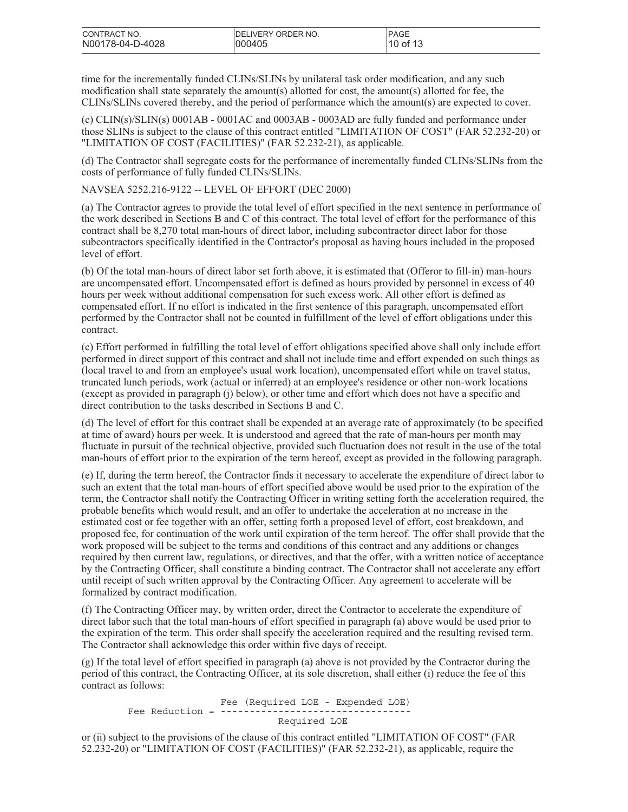| CONTRACT NO.     | <b>IDELIVERY ORDER NO.</b> | <b>IPAGE</b> |
|------------------|----------------------------|--------------|
| N00178-04-D-4028 | 000405                     | $10$ of 13   |

time for the incrementally funded CLINs/SLINs by unilateral task order modification, and any such modification shall state separately the amount(s) allotted for cost, the amount(s) allotted for fee, the CLINs/SLINs covered thereby, and the period of performance which the amount(s) are expected to cover.

(c) CLIN(s)/SLIN(s) 0001AB - 0001AC and 0003AB - 0003AD are fully funded and performance under those SLINs is subject to the clause of this contract entitled "LIMITATION OF COST" (FAR 52.232-20) or "LIMITATION OF COST (FACILITIES)" (FAR 52.232-21), as applicable.

(d) The Contractor shall segregate costs for the performance of incrementally funded CLINs/SLINs from the costs of performance of fully funded CLINs/SLINs.

NAVSEA 5252.216-9122 -- LEVEL OF EFFORT (DEC 2000)

(a) The Contractor agrees to provide the total level of effort specified in the next sentence in performance of the work described in Sections B and C of this contract. The total level of effort for the performance of this contract shall be 8,270 total man-hours of direct labor, including subcontractor direct labor for those subcontractors specifically identified in the Contractor's proposal as having hours included in the proposed level of effort.

(b) Of the total man-hours of direct labor set forth above, it is estimated that (Offeror to fill-in) man-hours are uncompensated effort. Uncompensated effort is defined as hours provided by personnel in excess of 40 hours per week without additional compensation for such excess work. All other effort is defined as compensated effort. If no effort is indicated in the first sentence of this paragraph, uncompensated effort performed by the Contractor shall not be counted in fulfillment of the level of effort obligations under this contract.

(c) Effort performed in fulfilling the total level of effort obligations specified above shall only include effort performed in direct support of this contract and shall not include time and effort expended on such things as (local travel to and from an employee's usual work location), uncompensated effort while on travel status, truncated lunch periods, work (actual or inferred) at an employee's residence or other non-work locations (except as provided in paragraph (j) below), or other time and effort which does not have a specific and direct contribution to the tasks described in Sections B and C.

(d) The level of effort for this contract shall be expended at an average rate of approximately (to be specified at time of award) hours per week. It is understood and agreed that the rate of man-hours per month may fluctuate in pursuit of the technical objective, provided such fluctuation does not result in the use of the total man-hours of effort prior to the expiration of the term hereof, except as provided in the following paragraph.

(e) If, during the term hereof, the Contractor finds it necessary to accelerate the expenditure of direct labor to such an extent that the total man-hours of effort specified above would be used prior to the expiration of the term, the Contractor shall notify the Contracting Officer in writing setting forth the acceleration required, the probable benefits which would result, and an offer to undertake the acceleration at no increase in the estimated cost or fee together with an offer, setting forth a proposed level of effort, cost breakdown, and proposed fee, for continuation of the work until expiration of the term hereof. The offer shall provide that the work proposed will be subject to the terms and conditions of this contract and any additions or changes required by then current law, regulations, or directives, and that the offer, with a written notice of acceptance by the Contracting Officer, shall constitute a binding contract. The Contractor shall not accelerate any effort until receipt of such written approval by the Contracting Officer. Any agreement to accelerate will be formalized by contract modification.

(f) The Contracting Officer may, by written order, direct the Contractor to accelerate the expenditure of direct labor such that the total man-hours of effort specified in paragraph (a) above would be used prior to the expiration of the term. This order shall specify the acceleration required and the resulting revised term. The Contractor shall acknowledge this order within five days of receipt.

(g) If the total level of effort specified in paragraph (a) above is not provided by the Contractor during the period of this contract, the Contracting Officer, at its sole discretion, shall either (i) reduce the fee of this contract as follows:

> Fee (Required LOE - Expended LOE) Fee Reduction =  $----$ Required LOE

or (ii) subject to the provisions of the clause of this contract entitled "LIMITATION OF COST" (FAR 52.232-20) or "LIMITATION OF COST (FACILITIES)" (FAR 52.232-21), as applicable, require the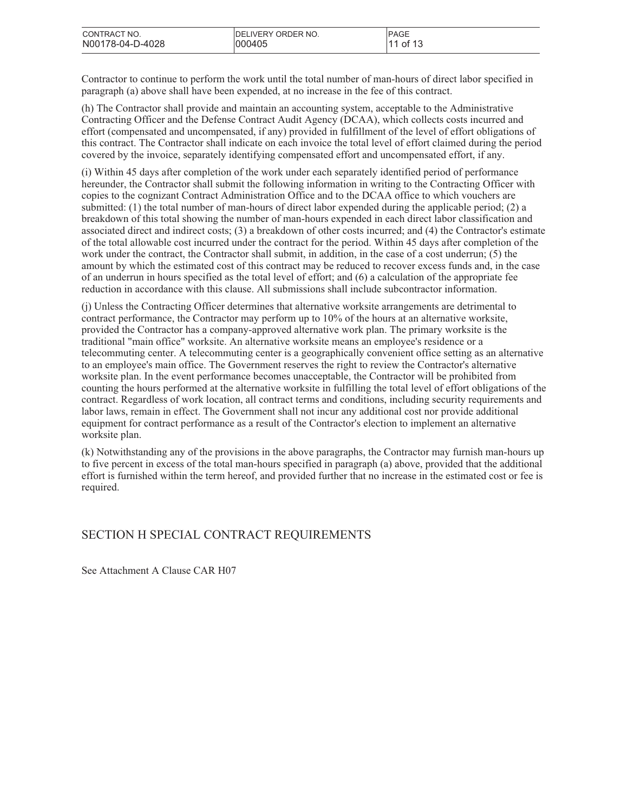| CONTRACT NO.     | <b>IDELIVERY ORDER NO.</b> | <b>PAGE</b> |
|------------------|----------------------------|-------------|
| N00178-04-D-4028 | 000405                     | of 13       |

Contractor to continue to perform the work until the total number of man-hours of direct labor specified in paragraph (a) above shall have been expended, at no increase in the fee of this contract.

(h) The Contractor shall provide and maintain an accounting system, acceptable to the Administrative Contracting Officer and the Defense Contract Audit Agency (DCAA), which collects costs incurred and effort (compensated and uncompensated, if any) provided in fulfillment of the level of effort obligations of this contract. The Contractor shall indicate on each invoice the total level of effort claimed during the period covered by the invoice, separately identifying compensated effort and uncompensated effort, if any.

(i) Within 45 days after completion of the work under each separately identified period of performance hereunder, the Contractor shall submit the following information in writing to the Contracting Officer with copies to the cognizant Contract Administration Office and to the DCAA office to which vouchers are submitted: (1) the total number of man-hours of direct labor expended during the applicable period; (2) a breakdown of this total showing the number of man-hours expended in each direct labor classification and associated direct and indirect costs; (3) a breakdown of other costs incurred; and (4) the Contractor's estimate of the total allowable cost incurred under the contract for the period. Within 45 days after completion of the work under the contract, the Contractor shall submit, in addition, in the case of a cost underrun; (5) the amount by which the estimated cost of this contract may be reduced to recover excess funds and, in the case of an underrun in hours specified as the total level of effort; and (6) a calculation of the appropriate fee reduction in accordance with this clause. All submissions shall include subcontractor information.

(j) Unless the Contracting Officer determines that alternative worksite arrangements are detrimental to contract performance, the Contractor may perform up to 10% of the hours at an alternative worksite, provided the Contractor has a company-approved alternative work plan. The primary worksite is the traditional "main office" worksite. An alternative worksite means an employee's residence or a telecommuting center. A telecommuting center is a geographically convenient office setting as an alternative to an employee's main office. The Government reserves the right to review the Contractor's alternative worksite plan. In the event performance becomes unacceptable, the Contractor will be prohibited from counting the hours performed at the alternative worksite in fulfilling the total level of effort obligations of the contract. Regardless of work location, all contract terms and conditions, including security requirements and labor laws, remain in effect. The Government shall not incur any additional cost nor provide additional equipment for contract performance as a result of the Contractor's election to implement an alternative worksite plan.

(k) Notwithstanding any of the provisions in the above paragraphs, the Contractor may furnish man-hours up to five percent in excess of the total man-hours specified in paragraph (a) above, provided that the additional effort is furnished within the term hereof, and provided further that no increase in the estimated cost or fee is required.

# SECTION H SPECIAL CONTRACT REQUIREMENTS

See Attachment A Clause CAR H07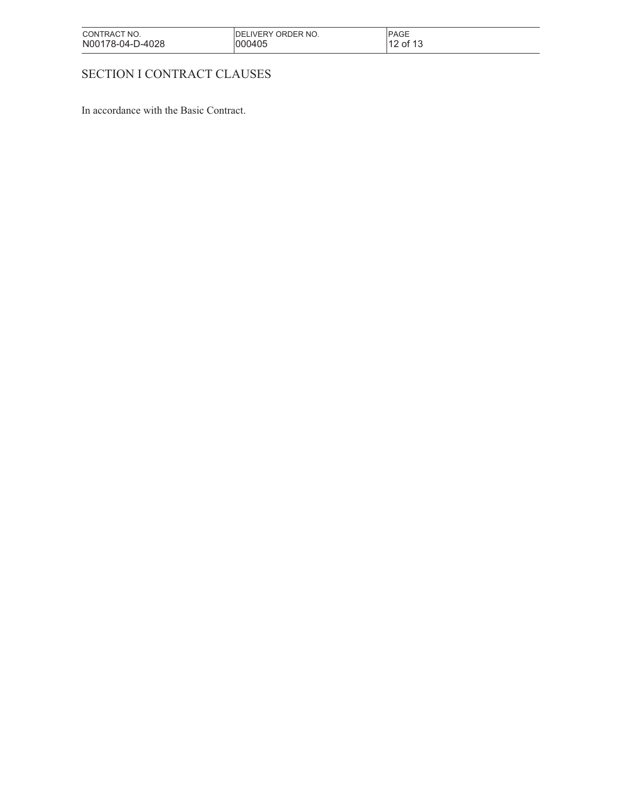| CONTRACT NO.     | <b>IDELIVERY ORDER NO.</b> | <b>PAGE</b> |
|------------------|----------------------------|-------------|
| N00178-04-D-4028 | 000405                     | 12 of 13    |

# SECTION I CONTRACT CLAUSES

In accordance with the Basic Contract.